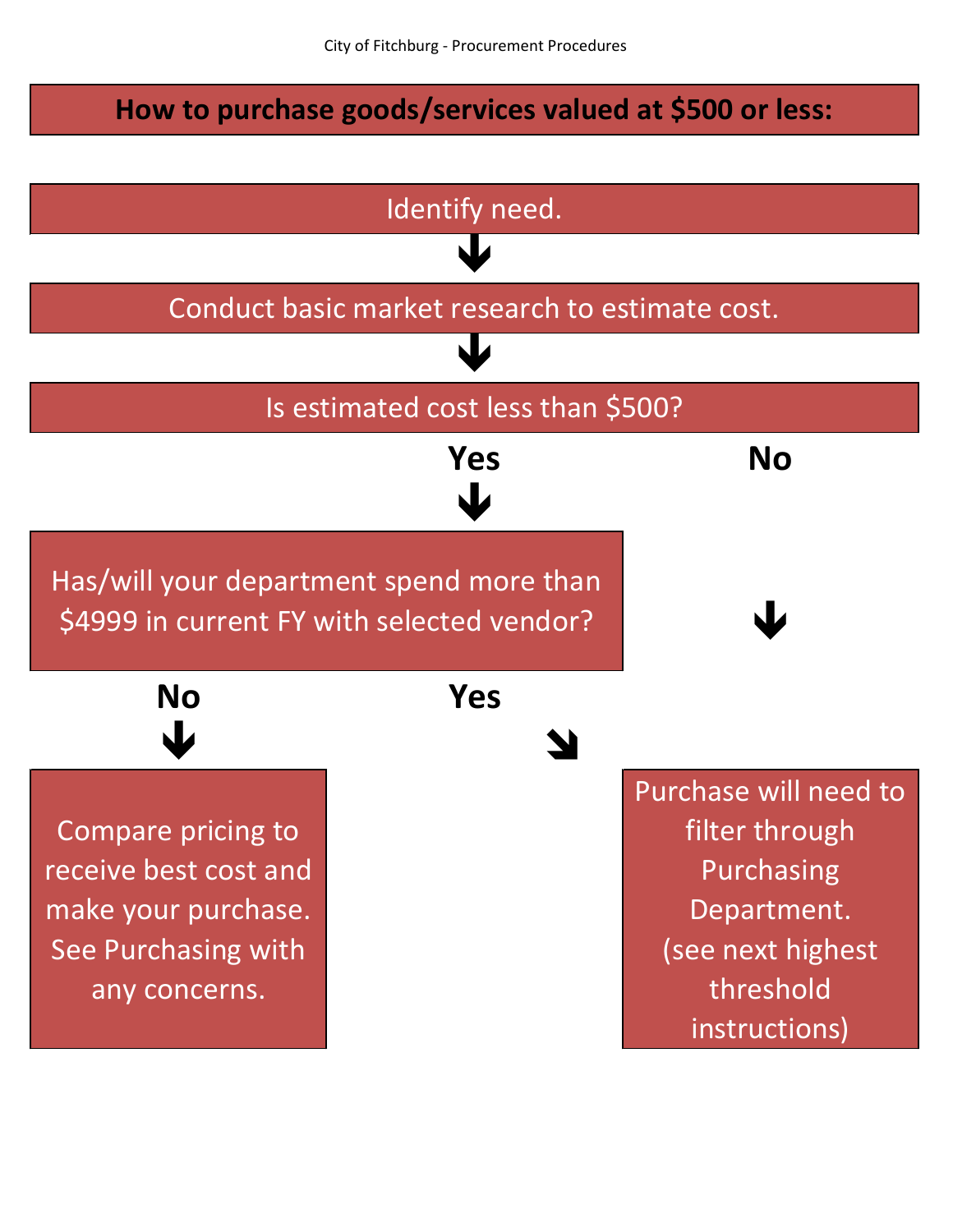## **How to purchase goods/services valued at \$500 or less:**

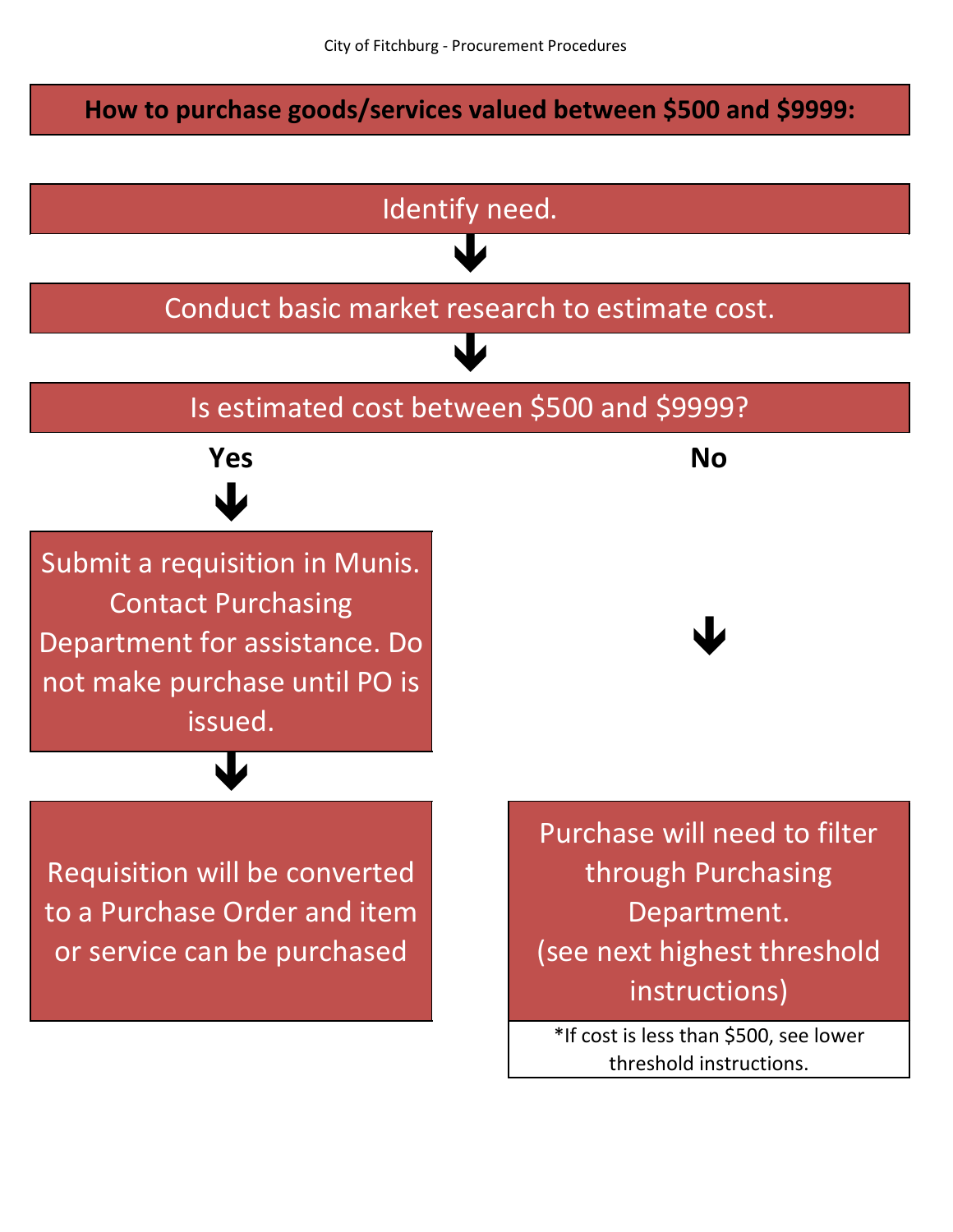**How to purchase goods/services valued between \$500 and \$9999:**

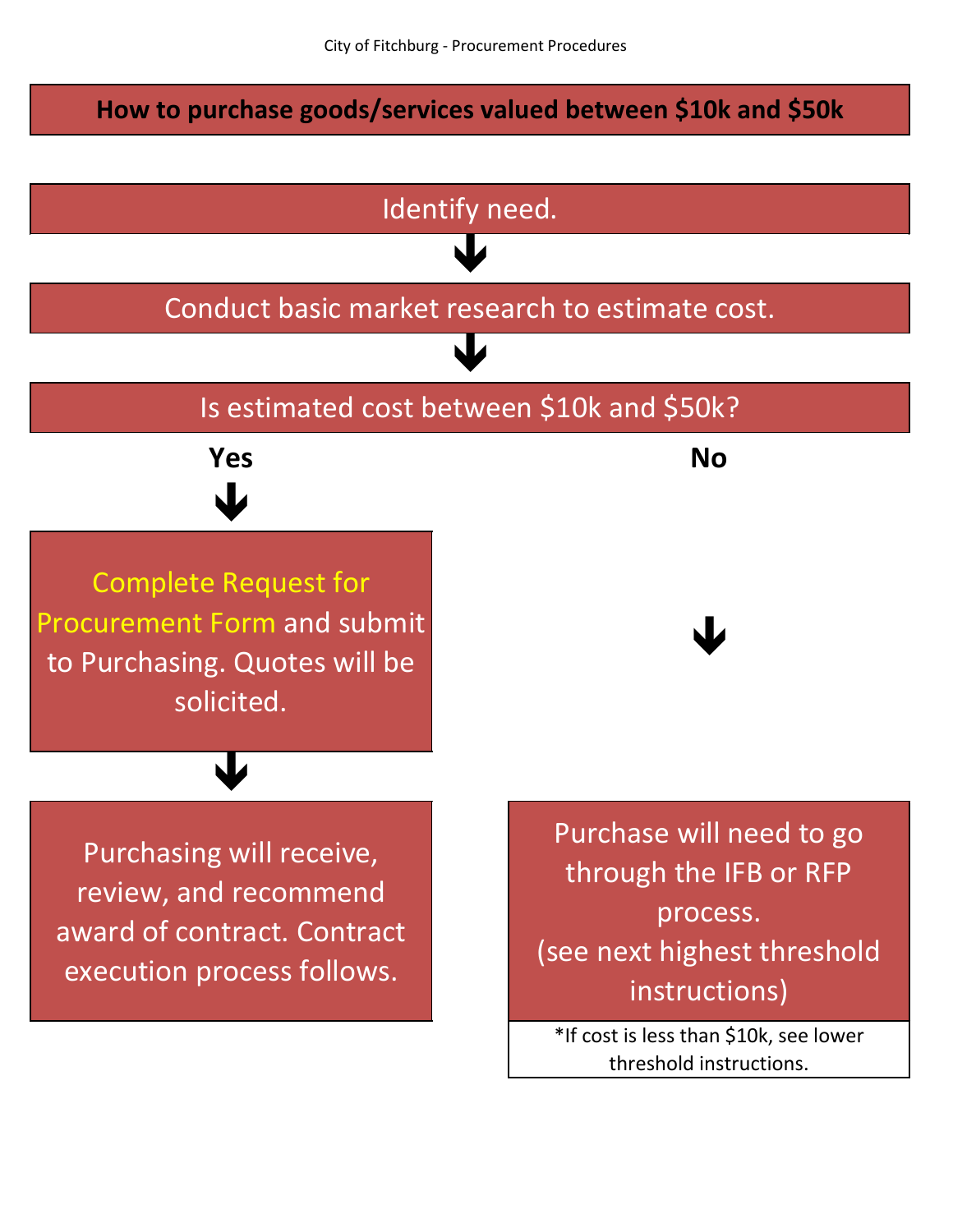## **How to purchase goods/services valued between \$10k and \$50k**

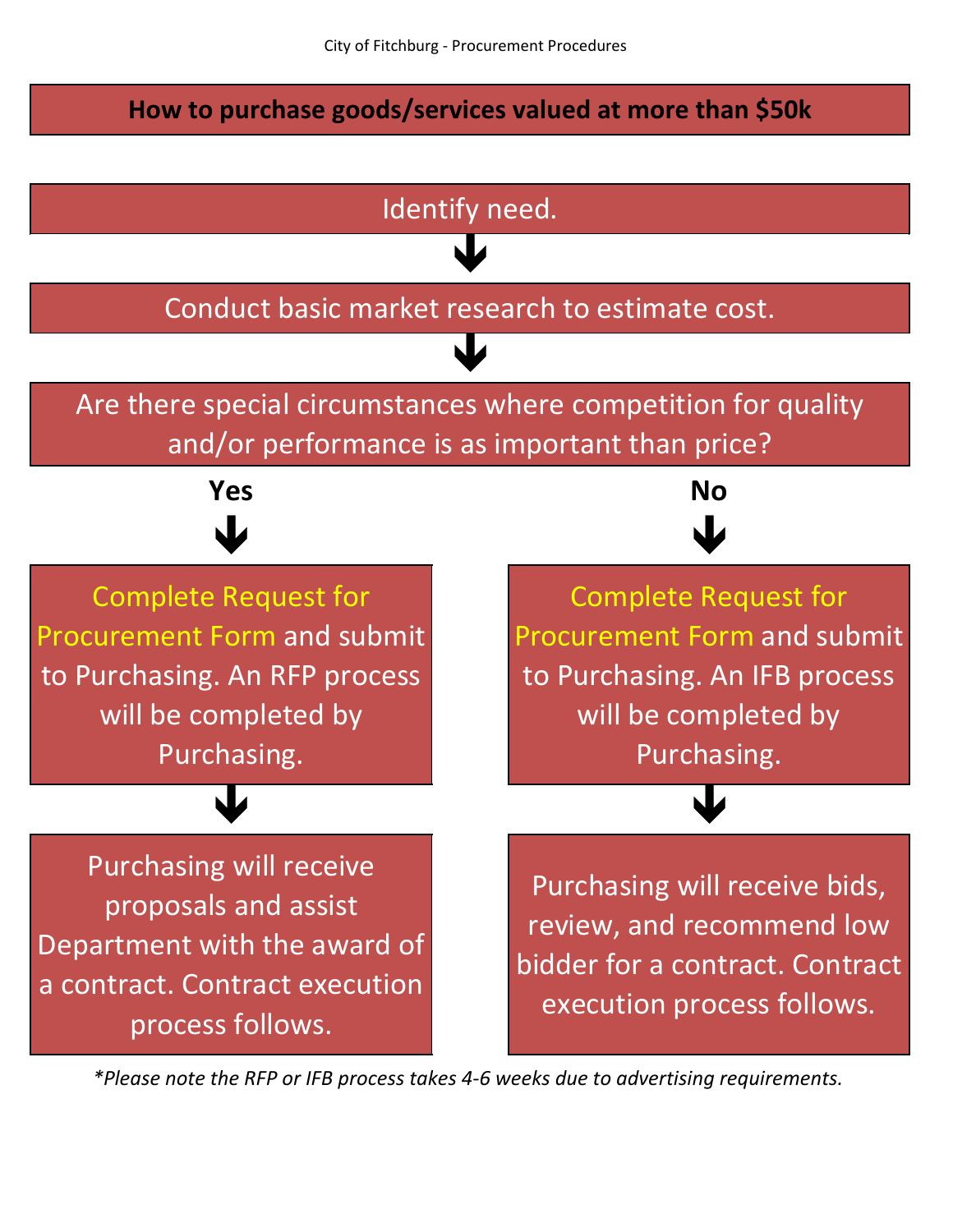## **How to purchase goods/services valued at more than \$50k**

![](_page_3_Figure_2.jpeg)

*\*Please note the RFP or IFB process takes 4-6 weeks due to advertising requirements.*